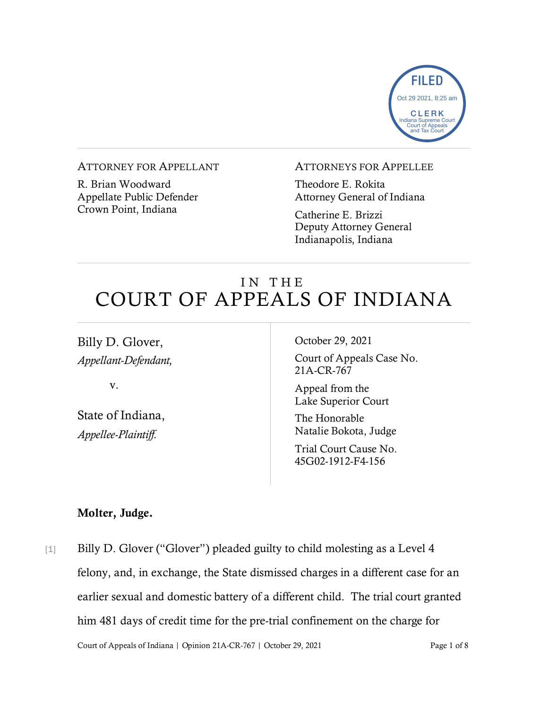

#### ATTORNEY FOR APPELLANT

R. Brian Woodward Appellate Public Defender Crown Point, Indiana

#### ATTORNEYS FOR APPELLEE

Theodore E. Rokita Attorney General of Indiana

Catherine E. Brizzi Deputy Attorney General Indianapolis, Indiana

# IN THE COURT OF APPEALS OF INDIANA

Billy D. Glover, *Appellant-Defendant,*

v.

State of Indiana, *Appellee-Plaintiff.*

October 29, 2021

Court of Appeals Case No. 21A-CR-767

Appeal from the Lake Superior Court

The Honorable Natalie Bokota, Judge

Trial Court Cause No. 45G02-1912-F4-156

### Molter, Judge.

Court of Appeals of Indiana | Opinion 21A-CR-767 | October 29, 2021 Page 1 of 8 [1] Billy D. Glover ("Glover") pleaded guilty to child molesting as a Level 4 felony, and, in exchange, the State dismissed charges in a different case for an earlier sexual and domestic battery of a different child. The trial court granted him 481 days of credit time for the pre-trial confinement on the charge for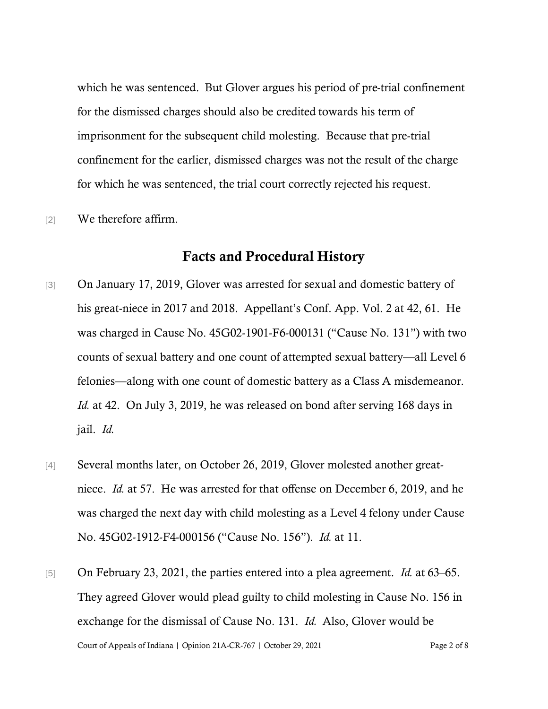which he was sentenced. But Glover argues his period of pre-trial confinement for the dismissed charges should also be credited towards his term of imprisonment for the subsequent child molesting. Because that pre-trial confinement for the earlier, dismissed charges was not the result of the charge for which he was sentenced, the trial court correctly rejected his request.

[2] We therefore affirm.

#### Facts and Procedural History

- [3] On January 17, 2019, Glover was arrested for sexual and domestic battery of his great-niece in 2017 and 2018. Appellant's Conf. App. Vol. 2 at 42, 61. He was charged in Cause No. 45G02-1901-F6-000131 ("Cause No. 131") with two counts of sexual battery and one count of attempted sexual battery—all Level 6 felonies—along with one count of domestic battery as a Class A misdemeanor. *Id.* at 42. On July 3, 2019, he was released on bond after serving 168 days in jail. *Id.*
- [4] Several months later, on October 26, 2019, Glover molested another greatniece. *Id.* at 57. He was arrested for that offense on December 6, 2019, and he was charged the next day with child molesting as a Level 4 felony under Cause No. 45G02-1912-F4-000156 ("Cause No. 156"). *Id.* at 11.
- Court of Appeals of Indiana | Opinion 21A-CR-767 | October 29, 2021 Page 2 of 8 [5] On February 23, 2021, the parties entered into a plea agreement. *Id.* at 63–65. They agreed Glover would plead guilty to child molesting in Cause No. 156 in exchange for the dismissal of Cause No. 131. *Id.* Also, Glover would be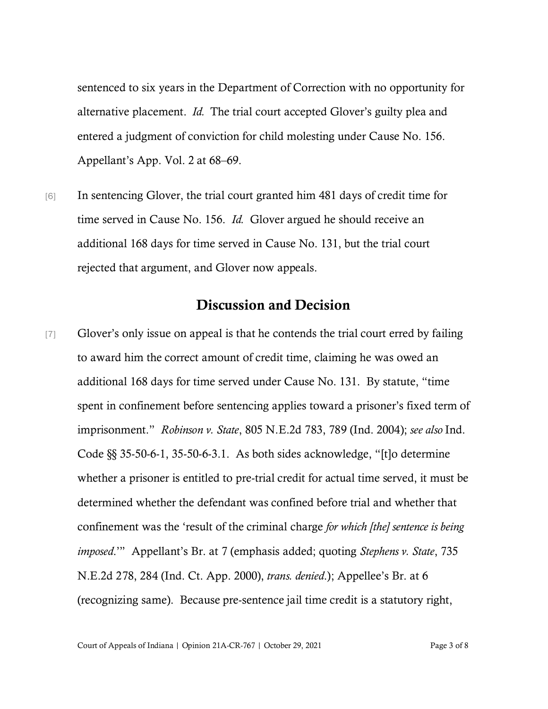sentenced to six years in the Department of Correction with no opportunity for alternative placement. *Id.* The trial court accepted Glover's guilty plea and entered a judgment of conviction for child molesting under Cause No. 156. Appellant's App. Vol. 2 at 68–69.

[6] In sentencing Glover, the trial court granted him 481 days of credit time for time served in Cause No. 156. *Id.* Glover argued he should receive an additional 168 days for time served in Cause No. 131, but the trial court rejected that argument, and Glover now appeals.

## Discussion and Decision

[7] Glover's only issue on appeal is that he contends the trial court erred by failing to award him the correct amount of credit time, claiming he was owed an additional 168 days for time served under Cause No. 131. By statute, "time spent in confinement before sentencing applies toward a prisoner's fixed term of imprisonment." *Robinson v. State*, 805 N.E.2d 783, 789 (Ind. 2004); *see also* Ind. Code §§ 35-50-6-1, 35-50-6-3.1. As both sides acknowledge, "[t]o determine whether a prisoner is entitled to pre-trial credit for actual time served, it must be determined whether the defendant was confined before trial and whether that confinement was the 'result of the criminal charge *for which [the] sentence is being imposed*.'" Appellant's Br. at 7 (emphasis added; quoting *Stephens v. State*, 735 N.E.2d 278, 284 (Ind. Ct. App. 2000), *trans. denied*.); Appellee's Br. at 6 (recognizing same). Because pre-sentence jail time credit is a statutory right,

Court of Appeals of Indiana | Opinion 21A-CR-767 | October 29, 2021 Page 3 of 8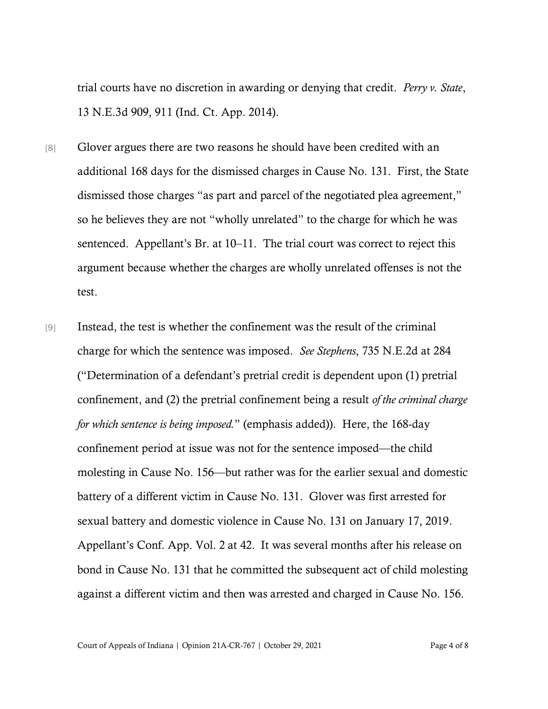trial courts have no discretion in awarding or denying that credit. *Perry v. State*, 13 N.E.3d 909, 911 (Ind. Ct. App. 2014).

- [8] Glover argues there are two reasons he should have been credited with an additional 168 days for the dismissed charges in Cause No. 131. First, the State dismissed those charges "as part and parcel of the negotiated plea agreement," so he believes they are not "wholly unrelated" to the charge for which he was sentenced. Appellant's Br. at 10–11. The trial court was correct to reject this argument because whether the charges are wholly unrelated offenses is not the test.
- [9] Instead, the test is whether the confinement was the result of the criminal charge for which the sentence was imposed. *See Stephens*, 735 N.E.2d at 284 ("Determination of a defendant's pretrial credit is dependent upon (1) pretrial confinement, and (2) the pretrial confinement being a result *of the criminal charge for which sentence is being imposed.*" (emphasis added)). Here, the 168-day confinement period at issue was not for the sentence imposed—the child molesting in Cause No. 156—but rather was for the earlier sexual and domestic battery of a different victim in Cause No. 131. Glover was first arrested for sexual battery and domestic violence in Cause No. 131 on January 17, 2019. Appellant's Conf. App. Vol. 2 at 42. It was several months after his release on bond in Cause No. 131 that he committed the subsequent act of child molesting against a different victim and then was arrested and charged in Cause No. 156.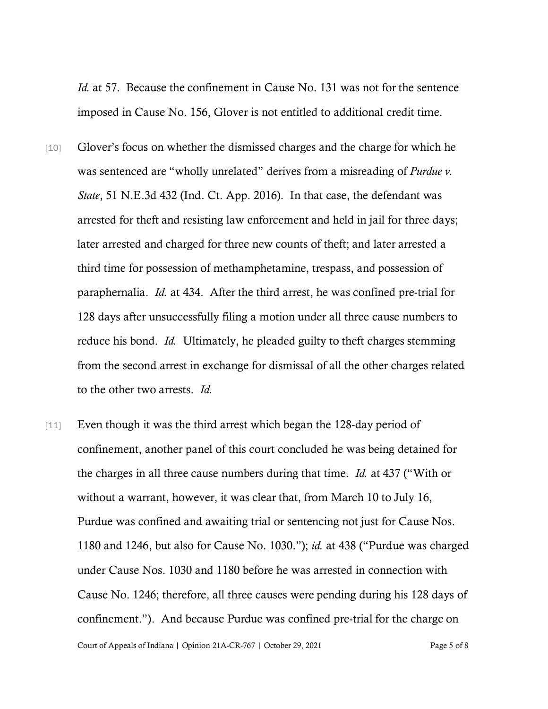*Id.* at 57. Because the confinement in Cause No. 131 was not for the sentence imposed in Cause No. 156, Glover is not entitled to additional credit time.

- [10] Glover's focus on whether the dismissed charges and the charge for which he was sentenced are "wholly unrelated" derives from a misreading of *Purdue v*. *State*, 51 N.E.3d 432 (Ind. Ct. App. 2016). In that case, the defendant was arrested for theft and resisting law enforcement and held in jail for three days; later arrested and charged for three new counts of theft; and later arrested a third time for possession of methamphetamine, trespass, and possession of paraphernalia. *Id.* at 434. After the third arrest, he was confined pre-trial for 128 days after unsuccessfully filing a motion under all three cause numbers to reduce his bond. *Id.* Ultimately, he pleaded guilty to theft charges stemming from the second arrest in exchange for dismissal of all the other charges related to the other two arrests. *Id.*
- [11] Even though it was the third arrest which began the 128-day period of confinement, another panel of this court concluded he was being detained for the charges in all three cause numbers during that time. *Id.* at 437 ("With or without a warrant, however, it was clear that, from March 10 to July 16, Purdue was confined and awaiting trial or sentencing not just for Cause Nos. 1180 and 1246, but also for Cause No. 1030."); *id.* at 438 ("Purdue was charged under Cause Nos. 1030 and 1180 before he was arrested in connection with Cause No. 1246; therefore, all three causes were pending during his 128 days of confinement."). And because Purdue was confined pre-trial for the charge on

Court of Appeals of Indiana | Opinion 21A-CR-767 | October 29, 2021 Page 5 of 8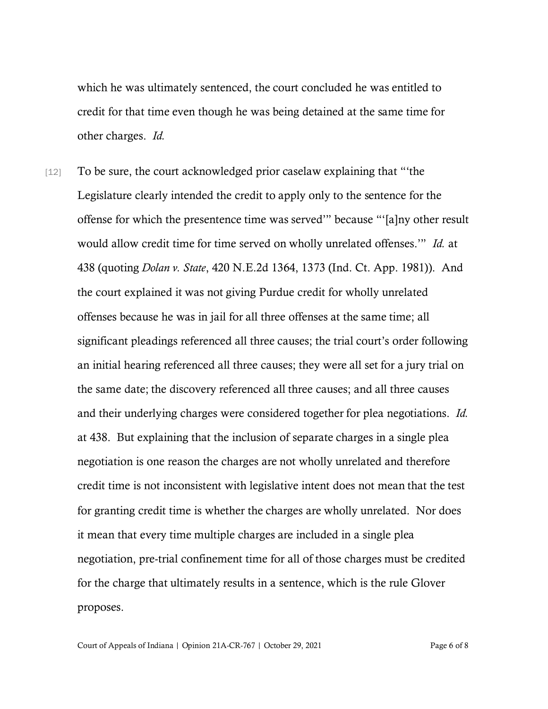which he was ultimately sentenced, the court concluded he was entitled to credit for that time even though he was being detained at the same time for other charges. *Id.*

[12] To be sure, the court acknowledged prior caselaw explaining that "'the Legislature clearly intended the credit to apply only to the sentence for the offense for which the presentence time was served'" because "'[a]ny other result would allow credit time for time served on wholly unrelated offenses.'" *Id.* at 438 (quoting *Dolan v. State*, 420 N.E.2d 1364, 1373 (Ind. Ct. App. 1981)). And the court explained it was not giving Purdue credit for wholly unrelated offenses because he was in jail for all three offenses at the same time; all significant pleadings referenced all three causes; the trial court's order following an initial hearing referenced all three causes; they were all set for a jury trial on the same date; the discovery referenced all three causes; and all three causes and their underlying charges were considered together for plea negotiations. *Id.* at 438. But explaining that the inclusion of separate charges in a single plea negotiation is one reason the charges are not wholly unrelated and therefore credit time is not inconsistent with legislative intent does not mean that the test for granting credit time is whether the charges are wholly unrelated. Nor does it mean that every time multiple charges are included in a single plea negotiation, pre-trial confinement time for all of those charges must be credited for the charge that ultimately results in a sentence, which is the rule Glover proposes.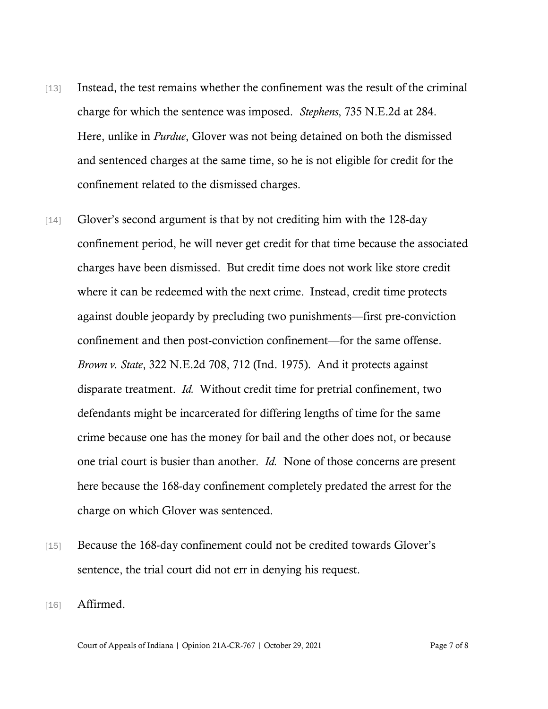- [13] Instead, the test remains whether the confinement was the result of the criminal charge for which the sentence was imposed. *Stephens*, 735 N.E.2d at 284. Here, unlike in *Purdue*, Glover was not being detained on both the dismissed and sentenced charges at the same time, so he is not eligible for credit for the confinement related to the dismissed charges.
- [14] Glover's second argument is that by not crediting him with the 128-day confinement period, he will never get credit for that time because the associated charges have been dismissed. But credit time does not work like store credit where it can be redeemed with the next crime. Instead, credit time protects against double jeopardy by precluding two punishments—first pre-conviction confinement and then post-conviction confinement—for the same offense. *Brown v. State*, 322 N.E.2d 708, 712 (Ind. 1975). And it protects against disparate treatment. *Id.* Without credit time for pretrial confinement, two defendants might be incarcerated for differing lengths of time for the same crime because one has the money for bail and the other does not, or because one trial court is busier than another. *Id.* None of those concerns are present here because the 168-day confinement completely predated the arrest for the charge on which Glover was sentenced.
- [15] Because the 168-day confinement could not be credited towards Glover's sentence, the trial court did not err in denying his request.
- [16] **Affirmed.**